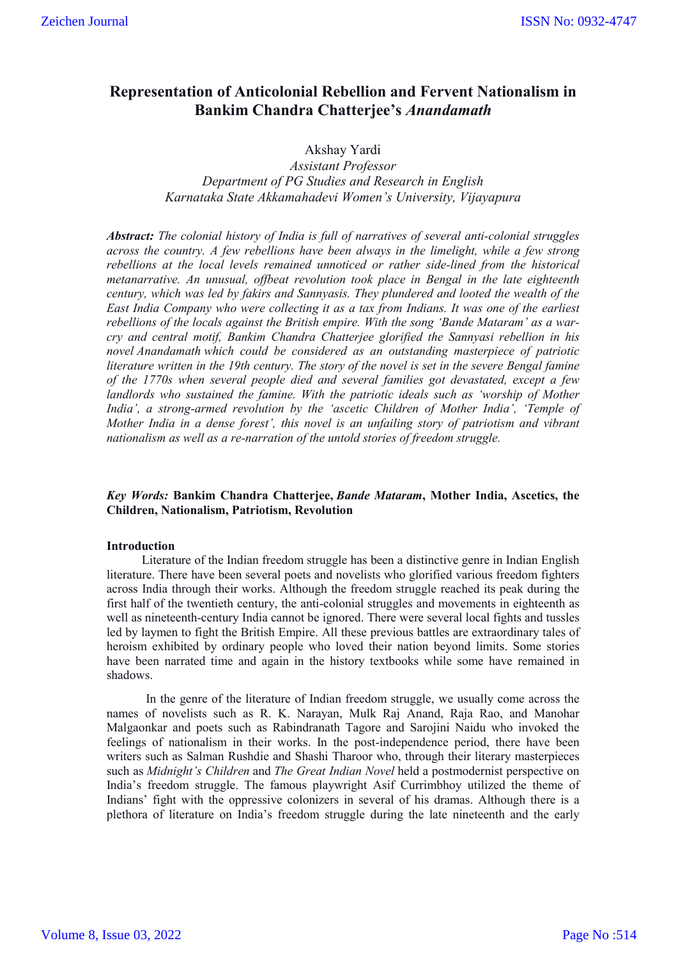# **Representation of Anticolonial Rebellion and Fervent Nationalism in Bankim Chandra Chatterjee's** *Anandamath*

# Akshay Yardi

*Assistant Professor Department of PG Studies and Research in English Karnataka State Akkamahadevi Women's University, Vijayapura*

*Abstract: The colonial history of India is full of narratives of several anti-colonial struggles across the country. A few rebellions have been always in the limelight, while a few strong rebellions at the local levels remained unnoticed or rather side-lined from the historical metanarrative. An unusual, offbeat revolution took place in Bengal in the late eighteenth century, which was led by fakirs and Sannyasis. They plundered and looted the wealth of the East India Company who were collecting it as a tax from Indians. It was one of the earliest rebellions of the locals against the British empire. With the song 'Bande Mataram' as a warcry and central motif, Bankim Chandra Chatterjee glorified the Sannyasi rebellion in his novel Anandamath which could be considered as an outstanding masterpiece of patriotic literature written in the 19th century. The story of the novel is set in the severe Bengal famine of the 1770s when several people died and several families got devastated, except a few landlords who sustained the famine. With the patriotic ideals such as 'worship of Mother India', a strong-armed revolution by the 'ascetic Children of Mother India', 'Temple of Mother India in a dense forest', this novel is an unfailing story of patriotism and vibrant nationalism as well as a re-narration of the untold stories of freedom struggle.*

# *Key Words:* **Bankim Chandra Chatterjee,** *Bande Mataram***, Mother India, Ascetics, the Children, Nationalism, Patriotism, Revolution**

# **Introduction**

Literature of the Indian freedom struggle has been a distinctive genre in Indian English literature. There have been several poets and novelists who glorified various freedom fighters across India through their works. Although the freedom struggle reached its peak during the first half of the twentieth century, the anti-colonial struggles and movements in eighteenth as well as nineteenth-century India cannot be ignored. There were several local fights and tussles led by laymen to fight the British Empire. All these previous battles are extraordinary tales of heroism exhibited by ordinary people who loved their nation beyond limits. Some stories have been narrated time and again in the history textbooks while some have remained in shadows.

In the genre of the literature of Indian freedom struggle, we usually come across the names of novelists such as R. K. Narayan, Mulk Raj Anand, Raja Rao, and Manohar Malgaonkar and poets such as Rabindranath Tagore and Sarojini Naidu who invoked the feelings of nationalism in their works. In the post-independence period, there have been writers such as Salman Rushdie and Shashi Tharoor who, through their literary masterpieces such as *Midnight's Children* and *The Great Indian Novel* held a postmodernist perspective on India's freedom struggle. The famous playwright Asif Currimbhoy utilized the theme of Indians' fight with the oppressive colonizers in several of his dramas. Although there is a plethora of literature on India's freedom struggle during the late nineteenth and the early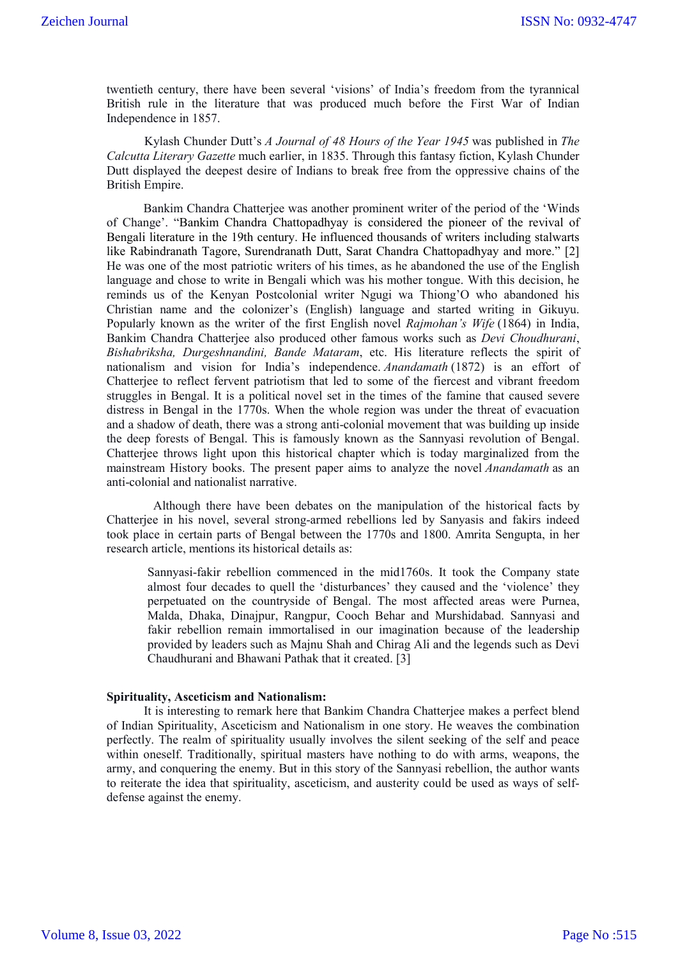twentieth century, there have been several 'visions' of India's freedom from the tyrannical British rule in the literature that was produced much before the First War of Indian Independence in 1857.

Kylash Chunder Dutt's *A Journal of 48 Hours of the Year 1945* was published in *The Calcutta Literary Gazette* much earlier, in 1835. Through this fantasy fiction, Kylash Chunder Dutt displayed the deepest desire of Indians to break free from the oppressive chains of the British Empire.

Bankim Chandra Chatterjee was another prominent writer of the period of the 'Winds of Change'. "Bankim Chandra Chattopadhyay is considered the pioneer of the revival of Bengali literature in the 19th century. He influenced thousands of writers including stalwarts like Rabindranath Tagore, Surendranath Dutt, Sarat Chandra Chattopadhyay and more." [2] He was one of the most patriotic writers of his times, as he abandoned the use of the English language and chose to write in Bengali which was his mother tongue. With this decision, he reminds us of the Kenyan Postcolonial writer Ngugi wa Thiong'O who abandoned his Christian name and the colonizer's (English) language and started writing in Gikuyu. Popularly known as the writer of the first English novel *Rajmohan's Wife* (1864) in India, Bankim Chandra Chatterjee also produced other famous works such as *Devi Choudhurani*, *Bishabriksha, Durgeshnandini, Bande Mataram*, etc. His literature reflects the spirit of nationalism and vision for India's independence. *Anandamath* (1872) is an effort of Chatterjee to reflect fervent patriotism that led to some of the fiercest and vibrant freedom struggles in Bengal. It is a political novel set in the times of the famine that caused severe distress in Bengal in the 1770s. When the whole region was under the threat of evacuation and a shadow of death, there was a strong anti-colonial movement that was building up inside the deep forests of Bengal. This is famously known as the Sannyasi revolution of Bengal. Chatterjee throws light upon this historical chapter which is today marginalized from the mainstream History books. The present paper aims to analyze the novel *Anandamath* as an anti-colonial and nationalist narrative.

Although there have been debates on the manipulation of the historical facts by Chatterjee in his novel, several strong-armed rebellions led by Sanyasis and fakirs indeed took place in certain parts of Bengal between the 1770s and 1800. Amrita Sengupta, in her research article, mentions its historical details as:

Sannyasi-fakir rebellion commenced in the mid1760s. It took the Company state almost four decades to quell the 'disturbances' they caused and the 'violence' they perpetuated on the countryside of Bengal. The most affected areas were Purnea, Malda, Dhaka, Dinajpur, Rangpur, Cooch Behar and Murshidabad. Sannyasi and fakir rebellion remain immortalised in our imagination because of the leadership provided by leaders such as Majnu Shah and Chirag Ali and the legends such as Devi Chaudhurani and Bhawani Pathak that it created. [3]

#### **Spirituality, Asceticism and Nationalism:**

It is interesting to remark here that Bankim Chandra Chatterjee makes a perfect blend of Indian Spirituality, Asceticism and Nationalism in one story. He weaves the combination perfectly. The realm of spirituality usually involves the silent seeking of the self and peace within oneself. Traditionally, spiritual masters have nothing to do with arms, weapons, the army, and conquering the enemy. But in this story of the Sannyasi rebellion, the author wants to reiterate the idea that spirituality, asceticism, and austerity could be used as ways of selfdefense against the enemy.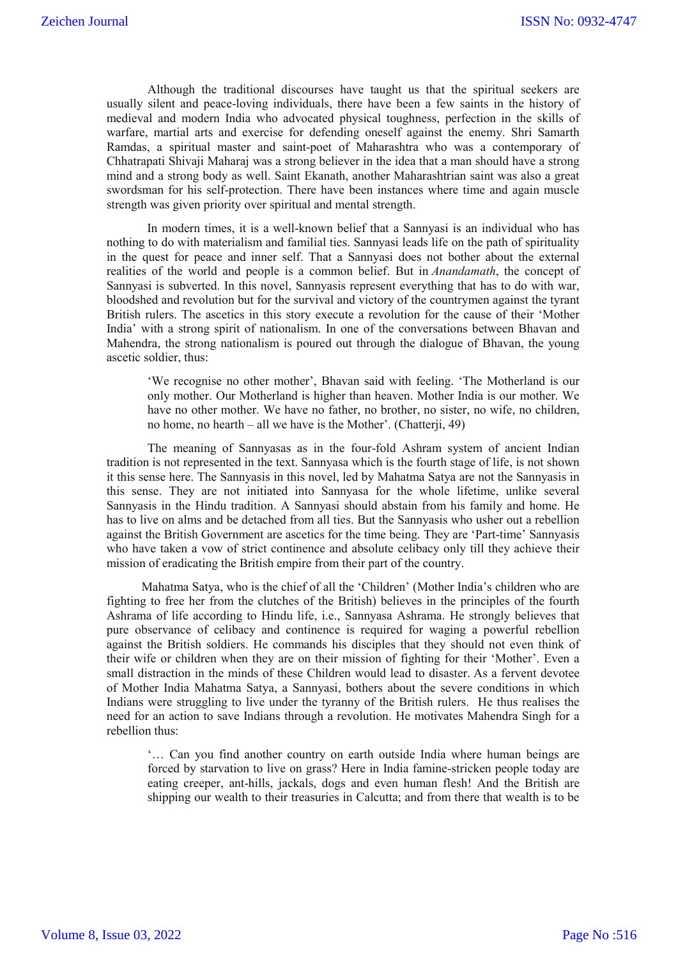Although the traditional discourses have taught us that the spiritual seekers are usually silent and peace-loving individuals, there have been a few saints in the history of medieval and modern India who advocated physical toughness, perfection in the skills of warfare, martial arts and exercise for defending oneself against the enemy. Shri Samarth Ramdas, a spiritual master and saint-poet of Maharashtra who was a contemporary of Chhatrapati Shivaji Maharaj was a strong believer in the idea that a man should have a strong mind and a strong body as well. Saint Ekanath, another Maharashtrian saint was also a great swordsman for his self-protection. There have been instances where time and again muscle strength was given priority over spiritual and mental strength.

In modern times, it is a well-known belief that a Sannyasi is an individual who has nothing to do with materialism and familial ties. Sannyasi leads life on the path of spirituality in the quest for peace and inner self. That a Sannyasi does not bother about the external realities of the world and people is a common belief. But in *Anandamath*, the concept of Sannyasi is subverted. In this novel, Sannyasis represent everything that has to do with war, bloodshed and revolution but for the survival and victory of the countrymen against the tyrant British rulers. The ascetics in this story execute a revolution for the cause of their 'Mother India' with a strong spirit of nationalism. In one of the conversations between Bhavan and Mahendra, the strong nationalism is poured out through the dialogue of Bhavan, the young ascetic soldier, thus:

'We recognise no other mother', Bhavan said with feeling. 'The Motherland is our only mother. Our Motherland is higher than heaven. Mother India is our mother. We have no other mother. We have no father, no brother, no sister, no wife, no children, no home, no hearth – all we have is the Mother'. (Chatterji, 49)

The meaning of Sannyasas as in the four-fold Ashram system of ancient Indian tradition is not represented in the text. Sannyasa which is the fourth stage of life, is not shown it this sense here. The Sannyasis in this novel, led by Mahatma Satya are not the Sannyasis in this sense. They are not initiated into Sannyasa for the whole lifetime, unlike several Sannyasis in the Hindu tradition. A Sannyasi should abstain from his family and home. He has to live on alms and be detached from all ties. But the Sannyasis who usher out a rebellion against the British Government are ascetics for the time being. They are 'Part-time' Sannyasis who have taken a vow of strict continence and absolute celibacy only till they achieve their mission of eradicating the British empire from their part of the country.

Mahatma Satya, who is the chief of all the 'Children' (Mother India's children who are fighting to free her from the clutches of the British) believes in the principles of the fourth Ashrama of life according to Hindu life, i.e., Sannyasa Ashrama. He strongly believes that pure observance of celibacy and continence is required for waging a powerful rebellion against the British soldiers. He commands his disciples that they should not even think of their wife or children when they are on their mission of fighting for their 'Mother'. Even a small distraction in the minds of these Children would lead to disaster. As a fervent devotee of Mother India Mahatma Satya, a Sannyasi, bothers about the severe conditions in which Indians were struggling to live under the tyranny of the British rulers. He thus realises the need for an action to save Indians through a revolution. He motivates Mahendra Singh for a rebellion thus:

'… Can you find another country on earth outside India where human beings are forced by starvation to live on grass? Here in India famine-stricken people today are eating creeper, ant-hills, jackals, dogs and even human flesh! And the British are shipping our wealth to their treasuries in Calcutta; and from there that wealth is to be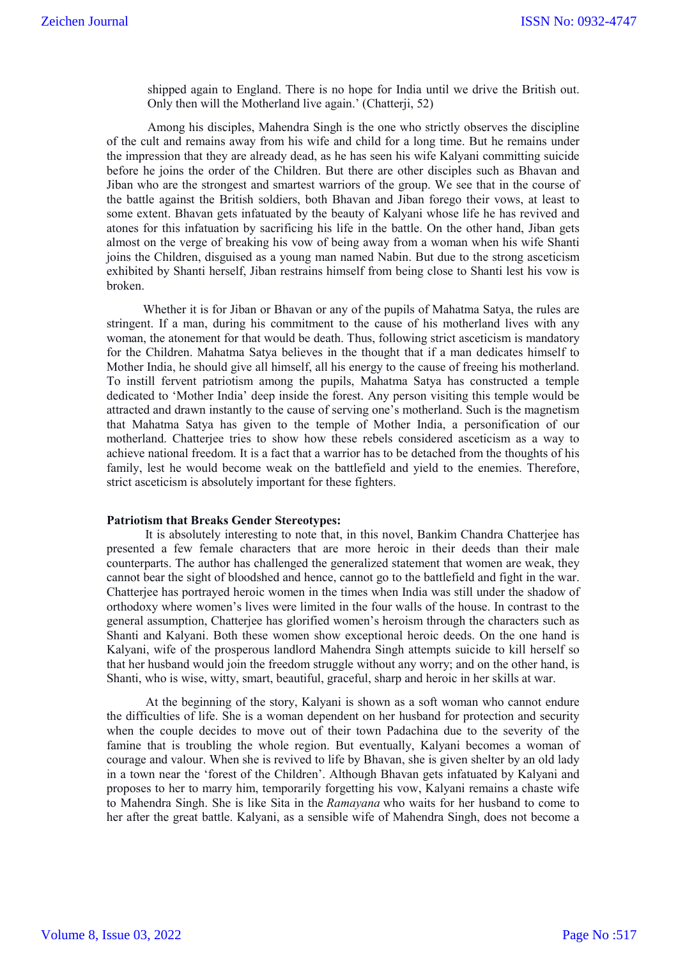shipped again to England. There is no hope for India until we drive the British out. Only then will the Motherland live again.' (Chatterji, 52)

Among his disciples, Mahendra Singh is the one who strictly observes the discipline of the cult and remains away from his wife and child for a long time. But he remains under the impression that they are already dead, as he has seen his wife Kalyani committing suicide before he joins the order of the Children. But there are other disciples such as Bhavan and Jiban who are the strongest and smartest warriors of the group. We see that in the course of the battle against the British soldiers, both Bhavan and Jiban forego their vows, at least to some extent. Bhavan gets infatuated by the beauty of Kalyani whose life he has revived and atones for this infatuation by sacrificing his life in the battle. On the other hand, Jiban gets almost on the verge of breaking his vow of being away from a woman when his wife Shanti joins the Children, disguised as a young man named Nabin. But due to the strong asceticism exhibited by Shanti herself, Jiban restrains himself from being close to Shanti lest his vow is broken.

Whether it is for Jiban or Bhavan or any of the pupils of Mahatma Satya, the rules are stringent. If a man, during his commitment to the cause of his motherland lives with any woman, the atonement for that would be death. Thus, following strict asceticism is mandatory for the Children. Mahatma Satya believes in the thought that if a man dedicates himself to Mother India, he should give all himself, all his energy to the cause of freeing his motherland. To instill fervent patriotism among the pupils, Mahatma Satya has constructed a temple dedicated to 'Mother India' deep inside the forest. Any person visiting this temple would be attracted and drawn instantly to the cause of serving one's motherland. Such is the magnetism that Mahatma Satya has given to the temple of Mother India, a personification of our motherland. Chatterjee tries to show how these rebels considered asceticism as a way to achieve national freedom. It is a fact that a warrior has to be detached from the thoughts of his family, lest he would become weak on the battlefield and yield to the enemies. Therefore, strict asceticism is absolutely important for these fighters.

## **Patriotism that Breaks Gender Stereotypes:**

It is absolutely interesting to note that, in this novel, Bankim Chandra Chatterjee has presented a few female characters that are more heroic in their deeds than their male counterparts. The author has challenged the generalized statement that women are weak, they cannot bear the sight of bloodshed and hence, cannot go to the battlefield and fight in the war. Chatterjee has portrayed heroic women in the times when India was still under the shadow of orthodoxy where women's lives were limited in the four walls of the house. In contrast to the general assumption, Chatterjee has glorified women's heroism through the characters such as Shanti and Kalyani. Both these women show exceptional heroic deeds. On the one hand is Kalyani, wife of the prosperous landlord Mahendra Singh attempts suicide to kill herself so that her husband would join the freedom struggle without any worry; and on the other hand, is Shanti, who is wise, witty, smart, beautiful, graceful, sharp and heroic in her skills at war.

At the beginning of the story, Kalyani is shown as a soft woman who cannot endure the difficulties of life. She is a woman dependent on her husband for protection and security when the couple decides to move out of their town Padachina due to the severity of the famine that is troubling the whole region. But eventually, Kalyani becomes a woman of courage and valour. When she is revived to life by Bhavan, she is given shelter by an old lady in a town near the 'forest of the Children'. Although Bhavan gets infatuated by Kalyani and proposes to her to marry him, temporarily forgetting his vow, Kalyani remains a chaste wife to Mahendra Singh. She is like Sita in the *Ramayana* who waits for her husband to come to her after the great battle. Kalyani, as a sensible wife of Mahendra Singh, does not become a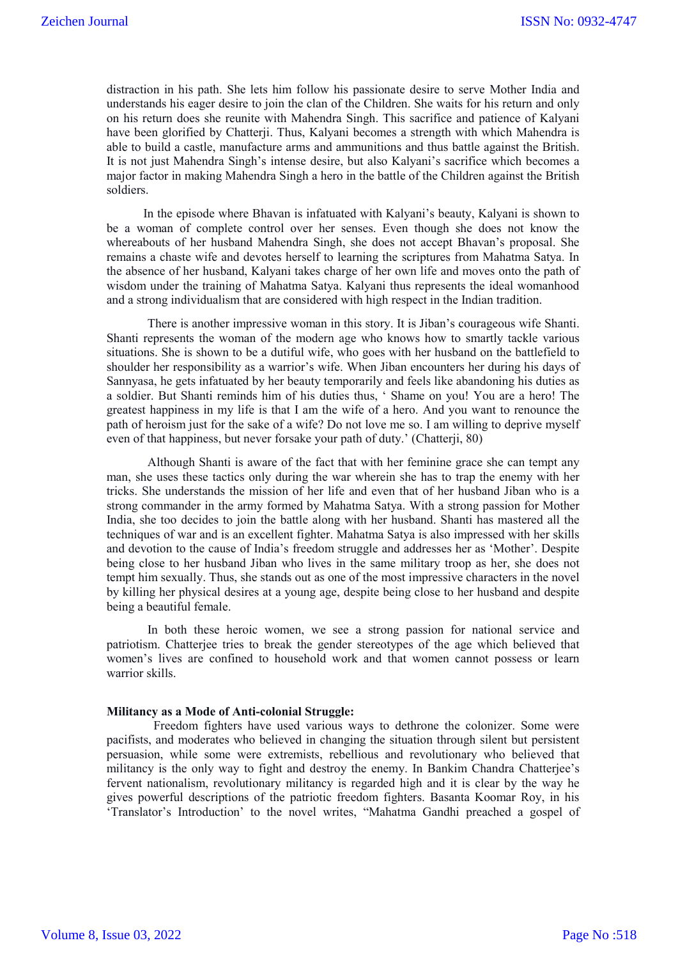distraction in his path. She lets him follow his passionate desire to serve Mother India and understands his eager desire to join the clan of the Children. She waits for his return and only on his return does she reunite with Mahendra Singh. This sacrifice and patience of Kalyani have been glorified by Chatterji. Thus, Kalyani becomes a strength with which Mahendra is able to build a castle, manufacture arms and ammunitions and thus battle against the British. It is not just Mahendra Singh's intense desire, but also Kalyani's sacrifice which becomes a major factor in making Mahendra Singh a hero in the battle of the Children against the British soldiers.

In the episode where Bhavan is infatuated with Kalyani's beauty, Kalyani is shown to be a woman of complete control over her senses. Even though she does not know the whereabouts of her husband Mahendra Singh, she does not accept Bhavan's proposal. She remains a chaste wife and devotes herself to learning the scriptures from Mahatma Satya. In the absence of her husband, Kalyani takes charge of her own life and moves onto the path of wisdom under the training of Mahatma Satya. Kalyani thus represents the ideal womanhood and a strong individualism that are considered with high respect in the Indian tradition.

There is another impressive woman in this story. It is Jiban's courageous wife Shanti. Shanti represents the woman of the modern age who knows how to smartly tackle various situations. She is shown to be a dutiful wife, who goes with her husband on the battlefield to shoulder her responsibility as a warrior's wife. When Jiban encounters her during his days of Sannyasa, he gets infatuated by her beauty temporarily and feels like abandoning his duties as a soldier. But Shanti reminds him of his duties thus, ' Shame on you! You are a hero! The greatest happiness in my life is that I am the wife of a hero. And you want to renounce the path of heroism just for the sake of a wife? Do not love me so. I am willing to deprive myself even of that happiness, but never forsake your path of duty.' (Chatterji, 80)

Although Shanti is aware of the fact that with her feminine grace she can tempt any man, she uses these tactics only during the war wherein she has to trap the enemy with her tricks. She understands the mission of her life and even that of her husband Jiban who is a strong commander in the army formed by Mahatma Satya. With a strong passion for Mother India, she too decides to join the battle along with her husband. Shanti has mastered all the techniques of war and is an excellent fighter. Mahatma Satya is also impressed with her skills and devotion to the cause of India's freedom struggle and addresses her as 'Mother'. Despite being close to her husband Jiban who lives in the same military troop as her, she does not tempt him sexually. Thus, she stands out as one of the most impressive characters in the novel by killing her physical desires at a young age, despite being close to her husband and despite being a beautiful female.

In both these heroic women, we see a strong passion for national service and patriotism. Chatterjee tries to break the gender stereotypes of the age which believed that women's lives are confined to household work and that women cannot possess or learn warrior skills.

# **Militancy as a Mode of Anti-colonial Struggle:**

Freedom fighters have used various ways to dethrone the colonizer. Some were pacifists, and moderates who believed in changing the situation through silent but persistent persuasion, while some were extremists, rebellious and revolutionary who believed that militancy is the only way to fight and destroy the enemy. In Bankim Chandra Chatterjee's fervent nationalism, revolutionary militancy is regarded high and it is clear by the way he gives powerful descriptions of the patriotic freedom fighters. Basanta Koomar Roy, in his 'Translator's Introduction' to the novel writes, "Mahatma Gandhi preached a gospel of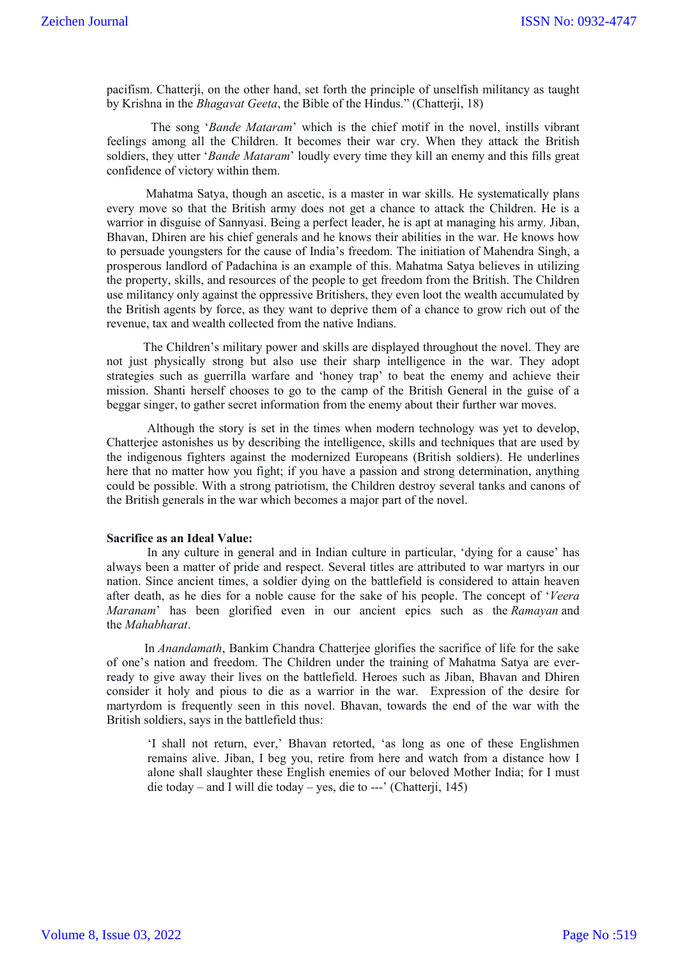pacifism. Chatterji, on the other hand, set forth the principle of unselfish militancy as taught by Krishna in the *Bhagavat Geeta*, the Bible of the Hindus." (Chatterji, 18)

The song '*Bande Mataram*' which is the chief motif in the novel, instills vibrant feelings among all the Children. It becomes their war cry. When they attack the British soldiers, they utter '*Bande Mataram*' loudly every time they kill an enemy and this fills great confidence of victory within them.

Mahatma Satya, though an ascetic, is a master in war skills. He systematically plans every move so that the British army does not get a chance to attack the Children. He is a warrior in disguise of Sannyasi. Being a perfect leader, he is apt at managing his army. Jiban, Bhavan, Dhiren are his chief generals and he knows their abilities in the war. He knows how to persuade youngsters for the cause of India's freedom. The initiation of Mahendra Singh, a prosperous landlord of Padachina is an example of this. Mahatma Satya believes in utilizing the property, skills, and resources of the people to get freedom from the British. The Children use militancy only against the oppressive Britishers, they even loot the wealth accumulated by the British agents by force, as they want to deprive them of a chance to grow rich out of the revenue, tax and wealth collected from the native Indians.

The Children's military power and skills are displayed throughout the novel. They are not just physically strong but also use their sharp intelligence in the war. They adopt strategies such as guerrilla warfare and 'honey trap' to beat the enemy and achieve their mission. Shanti herself chooses to go to the camp of the British General in the guise of a beggar singer, to gather secret information from the enemy about their further war moves.

Although the story is set in the times when modern technology was yet to develop, Chatterjee astonishes us by describing the intelligence, skills and techniques that are used by the indigenous fighters against the modernized Europeans (British soldiers). He underlines here that no matter how you fight; if you have a passion and strong determination, anything could be possible. With a strong patriotism, the Children destroy several tanks and canons of the British generals in the war which becomes a major part of the novel.

### **Sacrifice as an Ideal Value:**

In any culture in general and in Indian culture in particular, 'dying for a cause' has always been a matter of pride and respect. Several titles are attributed to war martyrs in our nation. Since ancient times, a soldier dying on the battlefield is considered to attain heaven after death, as he dies for a noble cause for the sake of his people. The concept of '*Veera Maranam*' has been glorified even in our ancient epics such as the *Ramayan* and the *Mahabharat*.

In *Anandamath*, Bankim Chandra Chatterjee glorifies the sacrifice of life for the sake of one's nation and freedom. The Children under the training of Mahatma Satya are everready to give away their lives on the battlefield. Heroes such as Jiban, Bhavan and Dhiren consider it holy and pious to die as a warrior in the war. Expression of the desire for martyrdom is frequently seen in this novel. Bhavan, towards the end of the war with the British soldiers, says in the battlefield thus:

'I shall not return, ever,' Bhavan retorted, 'as long as one of these Englishmen remains alive. Jiban, I beg you, retire from here and watch from a distance how I alone shall slaughter these English enemies of our beloved Mother India; for I must die today – and I will die today – yes, die to ---' (Chatterji, 145)